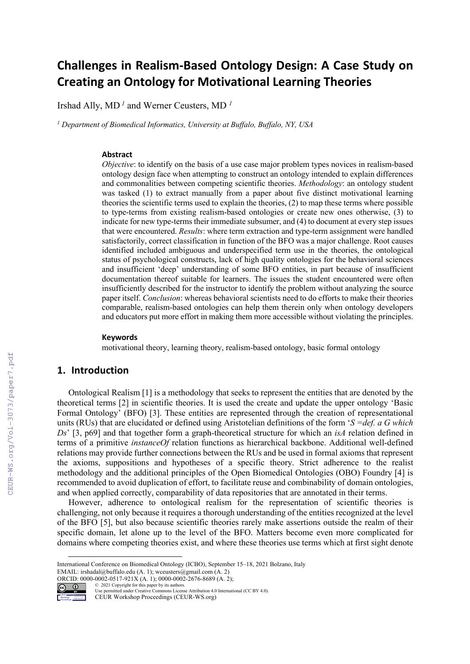# **Challenges in Realism-Based Ontology Design: A Case Study on Creating an Ontology for Motivational Learning Theories**

Irshad Ally, MD *<sup>1</sup>* and Werner Ceusters, MD *<sup>1</sup>*

*<sup>1</sup> Department of Biomedical Informatics, University at Buffalo, Buffalo, NY, USA*

#### **Abstract**

*Objective*: to identify on the basis of a use case major problem types novices in realism-based ontology design face when attempting to construct an ontology intended to explain differences and commonalities between competing scientific theories. *Methodology*: an ontology student was tasked (1) to extract manually from a paper about five distinct motivational learning theories the scientific terms used to explain the theories, (2) to map these terms where possible to type-terms from existing realism-based ontologies or create new ones otherwise, (3) to indicate for new type-terms their immediate subsumer, and (4) to document at every step issues that were encountered. *Results*: where term extraction and type-term assignment were handled satisfactorily, correct classification in function of the BFO was a major challenge. Root causes identified included ambiguous and underspecified term use in the theories, the ontological status of psychological constructs, lack of high quality ontologies for the behavioral sciences and insufficient 'deep' understanding of some BFO entities, in part because of insufficient documentation thereof suitable for learners. The issues the student encountered were often insufficiently described for the instructor to identify the problem without analyzing the source paper itself. *Conclusion*: whereas behavioral scientists need to do efforts to make their theories comparable, realism-based ontologies can help them therein only when ontology developers and educators put more effort in making them more accessible without violating the principles.

#### **Keywords 1**

motivational theory, learning theory, realism-based ontology, basic formal ontology

#### **1. Introduction**

Workshop Proceedings

Ontological Realism [1] is a methodology that seeks to represent the entities that are denoted by the theoretical terms [2] in scientific theories. It is used the create and update the upper ontology 'Basic Formal Ontology' (BFO) [3]. These entities are represented through the creation of representational units (RUs) that are elucidated or defined using Aristotelian definitions of the form '*S =def. a G which Ds*' [3, p69] and that together form a graph-theoretical structure for which an *isA* relation defined in terms of a primitive *instanceOf* relation functions as hierarchical backbone. Additional well-defined relations may provide further connections between the RUs and be used in formal axioms that represent the axioms, suppositions and hypotheses of a specific theory. Strict adherence to the realist methodology and the additional principles of the Open Biomedical Ontologies (OBO) Foundry [4] is recommended to avoid duplication of effort, to facilitate reuse and combinability of domain ontologies, and when applied correctly, comparability of data repositories that are annotated in their terms.

However, adherence to ontological realism for the representation of scientific theories is challenging, not only because it requires a thorough understanding of the entities recognized at the level of the BFO [5], but also because scientific theories rarely make assertions outside the realm of their specific domain, let alone up to the level of the BFO. Matters become even more complicated for domains where competing theories exist, and where these theories use terms which at first sight denote

**ORCID:** 0000-0002-0517-921X (A. 1); 0000-0002-2676-8689 (A. 2);<br> **CO**  $\bullet$  2021 Copyright for this paper by its authors. © 2021 Copyright for this paper by its authors. Use permitted under Creative Commons License Attribution 4.0 International (CC BY 4.0).

CEUR Workshop Proceedings (CEUR-WS.org)

International Conference on Biomedical Ontology (ICBO), September 15–18, 2021 Bolzano, Italy EMAIL: irshadal@buffalo.edu (A. 1); wceusters@gmail.com (A. 2)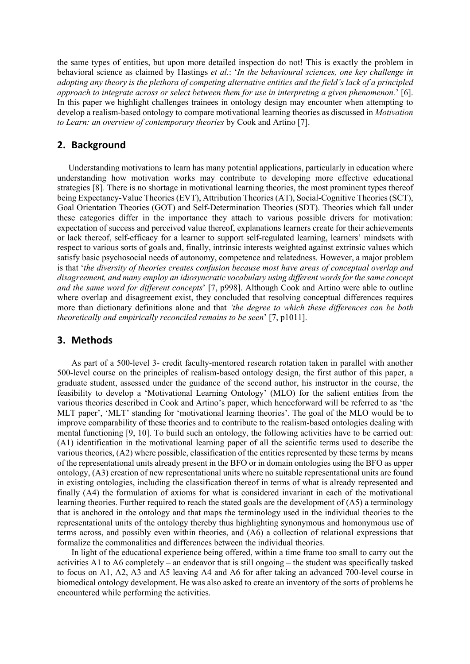the same types of entities, but upon more detailed inspection do not! This is exactly the problem in behavioral science as claimed by Hastings *et al.*: '*In the behavioural sciences, one key challenge in adopting any theory is the plethora of competing alternative entities and the field's lack of a principled approach to integrate across or select between them for use in interpreting a given phenomenon.*' [6]. In this paper we highlight challenges trainees in ontology design may encounter when attempting to develop a realism-based ontology to compare motivational learning theories as discussed in *Motivation to Learn: an overview of contemporary theories* by Cook and Artino [7].

# **2. Background**

Understanding motivations to learn has many potential applications, particularly in education where understanding how motivation works may contribute to developing more effective educational strategies [8]. There is no shortage in motivational learning theories, the most prominent types thereof being Expectancy-Value Theories (EVT), Attribution Theories (AT), Social-Cognitive Theories (SCT), Goal Orientation Theories (GOT) and Self-Determination Theories (SDT). Theories which fall under these categories differ in the importance they attach to various possible drivers for motivation: expectation of success and perceived value thereof, explanations learners create for their achievements or lack thereof, self-efficacy for a learner to support self-regulated learning, learners' mindsets with respect to various sorts of goals and, finally, intrinsic interests weighted against extrinsic values which satisfy basic psychosocial needs of autonomy, competence and relatedness. However, a major problem is that '*the diversity of theories creates confusion because most have areas of conceptual overlap and disagreement, and many employ an idiosyncratic vocabulary using different words for the same concept and the same word for different concepts*' [7, p998]. Although Cook and Artino were able to outline where overlap and disagreement exist, they concluded that resolving conceptual differences requires more than dictionary definitions alone and that *'the degree to which these differences can be both theoretically and empirically reconciled remains to be seen*' [7, p1011].

# **3. Methods**

As part of a 500-level 3- credit faculty-mentored research rotation taken in parallel with another 500-level course on the principles of realism-based ontology design, the first author of this paper, a graduate student, assessed under the guidance of the second author, his instructor in the course, the feasibility to develop a 'Motivational Learning Ontology' (MLO) for the salient entities from the various theories described in Cook and Artino's paper, which henceforward will be referred to as 'the MLT paper', 'MLT' standing for 'motivational learning theories'. The goal of the MLO would be to improve comparability of these theories and to contribute to the realism-based ontologies dealing with mental functioning [9, 10]. To build such an ontology, the following activities have to be carried out: (A1) identification in the motivational learning paper of all the scientific terms used to describe the various theories, (A2) where possible, classification of the entities represented by these terms by means of the representational units already present in the BFO or in domain ontologies using the BFO as upper ontology, (A3) creation of new representational units where no suitable representational units are found in existing ontologies, including the classification thereof in terms of what is already represented and finally (A4) the formulation of axioms for what is considered invariant in each of the motivational learning theories. Further required to reach the stated goals are the development of (A5) a terminology that is anchored in the ontology and that maps the terminology used in the individual theories to the representational units of the ontology thereby thus highlighting synonymous and homonymous use of terms across, and possibly even within theories, and (A6) a collection of relational expressions that formalize the commonalities and differences between the individual theories.

In light of the educational experience being offered, within a time frame too small to carry out the activities A1 to A6 completely – an endeavor that is still ongoing – the student was specifically tasked to focus on A1, A2, A3 and A5 leaving A4 and A6 for after taking an advanced 700-level course in biomedical ontology development. He was also asked to create an inventory of the sorts of problems he encountered while performing the activities.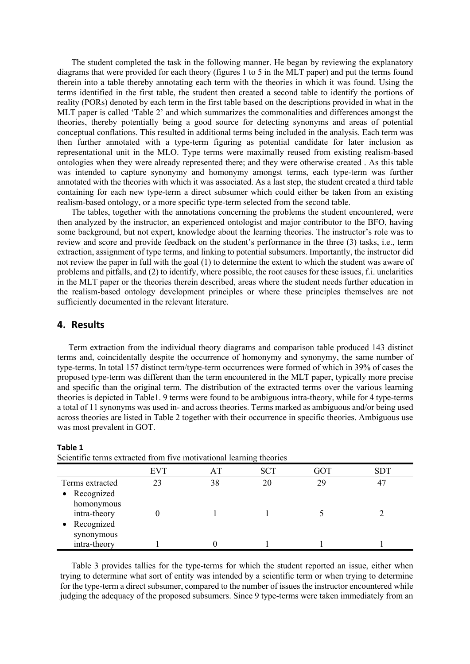The student completed the task in the following manner. He began by reviewing the explanatory diagrams that were provided for each theory (figures 1 to 5 in the MLT paper) and put the terms found therein into a table thereby annotating each term with the theories in which it was found. Using the terms identified in the first table, the student then created a second table to identify the portions of reality (PORs) denoted by each term in the first table based on the descriptions provided in what in the MLT paper is called 'Table 2' and which summarizes the commonalities and differences amongst the theories, thereby potentially being a good source for detecting synonyms and areas of potential conceptual conflations. This resulted in additional terms being included in the analysis. Each term was then further annotated with a type-term figuring as potential candidate for later inclusion as representational unit in the MLO. Type terms were maximally reused from existing realism-based ontologies when they were already represented there; and they were otherwise created . As this table was intended to capture synonymy and homonymy amongst terms, each type-term was further annotated with the theories with which it was associated. As a last step, the student created a third table containing for each new type-term a direct subsumer which could either be taken from an existing realism-based ontology, or a more specific type-term selected from the second table.

The tables, together with the annotations concerning the problems the student encountered, were then analyzed by the instructor, an experienced ontologist and major contributor to the BFO, having some background, but not expert, knowledge about the learning theories. The instructor's role was to review and score and provide feedback on the student's performance in the three (3) tasks, i.e., term extraction, assignment of type terms, and linking to potential subsumers. Importantly, the instructor did not review the paper in full with the goal (1) to determine the extent to which the student was aware of problems and pitfalls, and (2) to identify, where possible, the root causes for these issues, f.i. unclarities in the MLT paper or the theories therein described, areas where the student needs further education in the realism-based ontology development principles or where these principles themselves are not sufficiently documented in the relevant literature.

## **4. Results**

Term extraction from the individual theory diagrams and comparison table produced 143 distinct terms and, coincidentally despite the occurrence of homonymy and synonymy, the same number of type-terms. In total 157 distinct term/type-term occurrences were formed of which in 39% of cases the proposed type-term was different than the term encountered in the MLT paper, typically more precise and specific than the original term. The distribution of the extracted terms over the various learning theories is depicted in Table1. 9 terms were found to be ambiguous intra-theory, while for 4 type-terms a total of 11 synonyms was used in- and across theories. Terms marked as ambiguous and/or being used across theories are listed in Table 2 together with their occurrence in specific theories. Ambiguous use was most prevalent in GOT.

| .                                             |            |    |            |     |            |  |  |  |
|-----------------------------------------------|------------|----|------------|-----|------------|--|--|--|
|                                               | <b>EVT</b> | AТ | <b>SCT</b> | GOT | <b>SDT</b> |  |  |  |
| Terms extracted<br>• Recognized<br>homonymous | 23         | 38 | 20         | 29  | 47         |  |  |  |
| intra-theory<br>Recognized<br>$\bullet$       |            |    |            |     |            |  |  |  |
| synonymous<br>intra-theory                    |            |    |            |     |            |  |  |  |

#### **Table 1**

Scientific terms extracted from five motivational learning theories

Table 3 provides tallies for the type-terms for which the student reported an issue, either when trying to determine what sort of entity was intended by a scientific term or when trying to determine for the type-term a direct subsumer, compared to the number of issues the instructor encountered while judging the adequacy of the proposed subsumers. Since 9 type-terms were taken immediately from an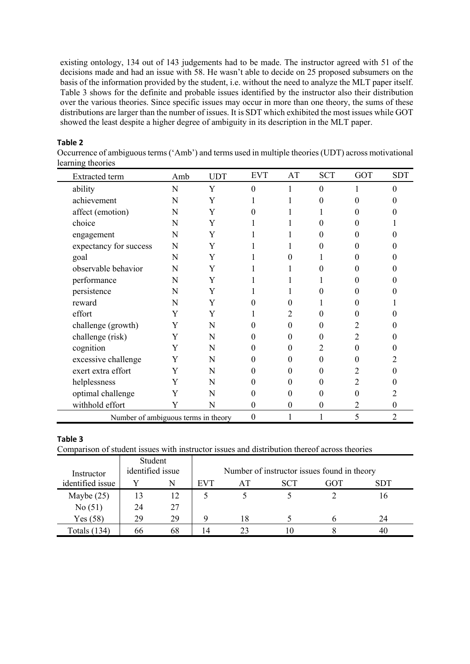existing ontology, 134 out of 143 judgements had to be made. The instructor agreed with 51 of the decisions made and had an issue with 58. He wasn't able to decide on 25 proposed subsumers on the basis of the information provided by the student, i.e. without the need to analyze the MLT paper itself. Table 3 shows for the definite and probable issues identified by the instructor also their distribution over the various theories. Since specific issues may occur in more than one theory, the sums of these distributions are larger than the number of issues. It is SDT which exhibited the most issues while GOT showed the least despite a higher degree of ambiguity in its description in the MLT paper.

### **Table 2**

Occurrence of ambiguous terms ('Amb') and terms used in multiple theories (UDT) across motivational learning theories

| <b>Extracted</b> term               | Amb | <b>UDT</b> | <b>EVT</b>        | AT       | <b>SCT</b>       | GOT      | <b>SDT</b> |
|-------------------------------------|-----|------------|-------------------|----------|------------------|----------|------------|
| ability                             | N   | Y          | $\mathbf{0}$      |          | $\theta$         |          | $\Omega$   |
| achievement                         | N   | Y          |                   |          | $\Omega$         | 0        |            |
| affect (emotion)                    | N   | Y          | 0                 |          |                  | 0        |            |
| choice                              | N   | Y          |                   |          | $\Omega$         | 0        |            |
| engagement                          | N   | Y          |                   |          | $\Omega$         | 0        |            |
| expectancy for success              | N   | Y          |                   |          | 0                | 0        |            |
| goal                                | N   | Y          |                   | 0        |                  | 0        |            |
| observable behavior                 | N   | Y          |                   |          | 0                | 0        |            |
| performance                         | N   | Y          |                   |          |                  | 0        |            |
| persistence                         | N   | Y          |                   |          | 0                | 0        |            |
| reward                              | N   | Y          | $\mathbf{\Omega}$ | 0        |                  | 0        |            |
| effort                              | Y   | Y          |                   | 2        | $\Omega$         | 0        |            |
| challenge (growth)                  | Y   | N          | 0                 | $\Omega$ | $\theta$         | 2        |            |
| challenge (risk)                    | Y   | N          | 0                 | $\Omega$ | 0                | 2        |            |
| cognition                           | Y   | N          | 0                 | $_{0}$   | 2                | $\Omega$ |            |
| excessive challenge                 | Y   | N          | 0                 | $_{0}$   | $\Omega$         | 0        |            |
| exert extra effort                  | Y   | N          | 0                 | $_{0}$   | $\theta$         | 2        |            |
| helplessness                        | Y   | N          | 0                 | $_{0}$   | $\theta$         | 2        |            |
| optimal challenge                   | Y   | N          | 0                 | 0        | $\Omega$         | 0        |            |
| withhold effort                     | Y   | N          | $\theta$          | $\theta$ | $\boldsymbol{0}$ | 2        | $\theta$   |
| Number of ambiguous terms in theory |     |            | $\boldsymbol{0}$  |          |                  | 5        | 2          |

#### **Table 3**

Comparison of student issues with instructor issues and distribution thereof across theories

| Instructor          | Student<br>identified issue | Number of instructor issues found in theory |            |    |            |     |            |
|---------------------|-----------------------------|---------------------------------------------|------------|----|------------|-----|------------|
| identified issue    |                             | N                                           | <b>EVT</b> | АT | <b>SCT</b> | GOT | <b>SDT</b> |
| Maybe $(25)$        | 13                          | 12                                          |            |    |            |     | 16         |
| No(51)              | 24                          | 27                                          |            |    |            |     |            |
| Yes(58)             | 29                          | 29                                          |            | 18 |            |     | 24         |
| <b>Totals</b> (134) | 66                          | 68                                          | 14         |    |            |     | 40         |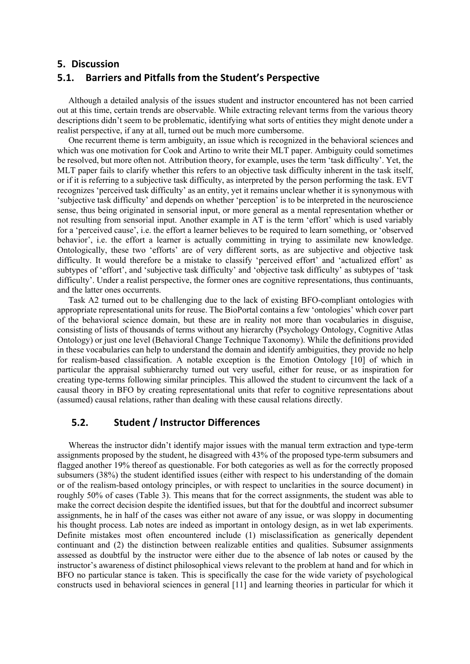## **5. Discussion**

# **5.1. Barriers and Pitfalls from the Student's Perspective**

Although a detailed analysis of the issues student and instructor encountered has not been carried out at this time, certain trends are observable. While extracting relevant terms from the various theory descriptions didn't seem to be problematic, identifying what sorts of entities they might denote under a realist perspective, if any at all, turned out be much more cumbersome.

One recurrent theme is term ambiguity, an issue which is recognized in the behavioral sciences and which was one motivation for Cook and Artino to write their MLT paper. Ambiguity could sometimes be resolved, but more often not. Attribution theory, for example, uses the term 'task difficulty'. Yet, the MLT paper fails to clarify whether this refers to an objective task difficulty inherent in the task itself, or if it is referring to a subjective task difficulty, as interpreted by the person performing the task. EVT recognizes 'perceived task difficulty' as an entity, yet it remains unclear whether it is synonymous with 'subjective task difficulty' and depends on whether 'perception' is to be interpreted in the neuroscience sense, thus being originated in sensorial input, or more general as a mental representation whether or not resulting from sensorial input. Another example in AT is the term 'effort' which is used variably for a 'perceived cause', i.e. the effort a learner believes to be required to learn something, or 'observed behavior', i.e. the effort a learner is actually committing in trying to assimilate new knowledge. Ontologically, these two 'efforts' are of very different sorts, as are subjective and objective task difficulty. It would therefore be a mistake to classify 'perceived effort' and 'actualized effort' as subtypes of 'effort', and 'subjective task difficulty' and 'objective task difficulty' as subtypes of 'task difficulty'. Under a realist perspective, the former ones are cognitive representations, thus continuants, and the latter ones occurrents.

Task A2 turned out to be challenging due to the lack of existing BFO-compliant ontologies with appropriate representational units for reuse. The BioPortal contains a few 'ontologies' which cover part of the behavioral science domain, but these are in reality not more than vocabularies in disguise, consisting of lists of thousands of terms without any hierarchy (Psychology Ontology, Cognitive Atlas Ontology) or just one level (Behavioral Change Technique Taxonomy). While the definitions provided in these vocabularies can help to understand the domain and identify ambiguities, they provide no help for realism-based classification. A notable exception is the Emotion Ontology [10] of which in particular the appraisal subhierarchy turned out very useful, either for reuse, or as inspiration for creating type-terms following similar principles. This allowed the student to circumvent the lack of a causal theory in BFO by creating representational units that refer to cognitive representations about (assumed) causal relations, rather than dealing with these causal relations directly.

## **5.2. Student / Instructor Differences**

Whereas the instructor didn't identify major issues with the manual term extraction and type-term assignments proposed by the student, he disagreed with 43% of the proposed type-term subsumers and flagged another 19% thereof as questionable. For both categories as well as for the correctly proposed subsumers (38%) the student identified issues (either with respect to his understanding of the domain or of the realism-based ontology principles, or with respect to unclarities in the source document) in roughly 50% of cases (Table 3). This means that for the correct assignments, the student was able to make the correct decision despite the identified issues, but that for the doubtful and incorrect subsumer assignments, he in half of the cases was either not aware of any issue, or was sloppy in documenting his thought process. Lab notes are indeed as important in ontology design, as in wet lab experiments. Definite mistakes most often encountered include (1) misclassification as generically dependent continuant and (2) the distinction between realizable entities and qualities. Subsumer assignments assessed as doubtful by the instructor were either due to the absence of lab notes or caused by the instructor's awareness of distinct philosophical views relevant to the problem at hand and for which in BFO no particular stance is taken. This is specifically the case for the wide variety of psychological constructs used in behavioral sciences in general [11] and learning theories in particular for which it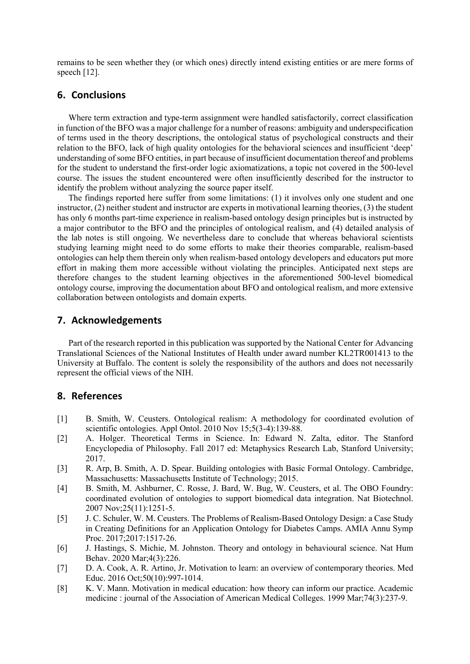remains to be seen whether they (or which ones) directly intend existing entities or are mere forms of speech [12].

# **6. Conclusions**

Where term extraction and type-term assignment were handled satisfactorily, correct classification in function of the BFO was a major challenge for a number of reasons: ambiguity and underspecification of terms used in the theory descriptions, the ontological status of psychological constructs and their relation to the BFO, lack of high quality ontologies for the behavioral sciences and insufficient 'deep' understanding of some BFO entities, in part because of insufficient documentation thereof and problems for the student to understand the first-order logic axiomatizations, a topic not covered in the 500-level course. The issues the student encountered were often insufficiently described for the instructor to identify the problem without analyzing the source paper itself.

The findings reported here suffer from some limitations: (1) it involves only one student and one instructor, (2) neither student and instructor are experts in motivational learning theories, (3) the student has only 6 months part-time experience in realism-based ontology design principles but is instructed by a major contributor to the BFO and the principles of ontological realism, and (4) detailed analysis of the lab notes is still ongoing. We nevertheless dare to conclude that whereas behavioral scientists studying learning might need to do some efforts to make their theories comparable, realism-based ontologies can help them therein only when realism-based ontology developers and educators put more effort in making them more accessible without violating the principles. Anticipated next steps are therefore changes to the student learning objectives in the aforementioned 500-level biomedical ontology course, improving the documentation about BFO and ontological realism, and more extensive collaboration between ontologists and domain experts.

#### **7. Acknowledgements**

Part of the research reported in this publication was supported by the National Center for Advancing Translational Sciences of the National Institutes of Health under award number KL2TR001413 to the University at Buffalo. The content is solely the responsibility of the authors and does not necessarily represent the official views of the NIH.

## **8. References**

- [1] B. Smith, W. Ceusters. Ontological realism: A methodology for coordinated evolution of scientific ontologies. Appl Ontol. 2010 Nov 15;5(3-4):139-88.
- [2] A. Holger. Theoretical Terms in Science. In: Edward N. Zalta, editor. The Stanford Encyclopedia of Philosophy. Fall 2017 ed: Metaphysics Research Lab, Stanford University; 2017.
- [3] R. Arp, B. Smith, A. D. Spear. Building ontologies with Basic Formal Ontology. Cambridge, Massachusetts: Massachusetts Institute of Technology; 2015.
- [4] B. Smith, M. Ashburner, C. Rosse, J. Bard, W. Bug, W. Ceusters, et al. The OBO Foundry: coordinated evolution of ontologies to support biomedical data integration. Nat Biotechnol. 2007 Nov;25(11):1251-5.
- [5] J. C. Schuler, W. M. Ceusters. The Problems of Realism-Based Ontology Design: a Case Study in Creating Definitions for an Application Ontology for Diabetes Camps. AMIA Annu Symp Proc. 2017;2017:1517-26.
- [6] J. Hastings, S. Michie, M. Johnston. Theory and ontology in behavioural science. Nat Hum Behav. 2020 Mar;4(3):226.
- [7] D. A. Cook, A. R. Artino, Jr. Motivation to learn: an overview of contemporary theories. Med Educ. 2016 Oct;50(10):997-1014.
- [8] K. V. Mann. Motivation in medical education: how theory can inform our practice. Academic medicine : journal of the Association of American Medical Colleges. 1999 Mar;74(3):237-9.